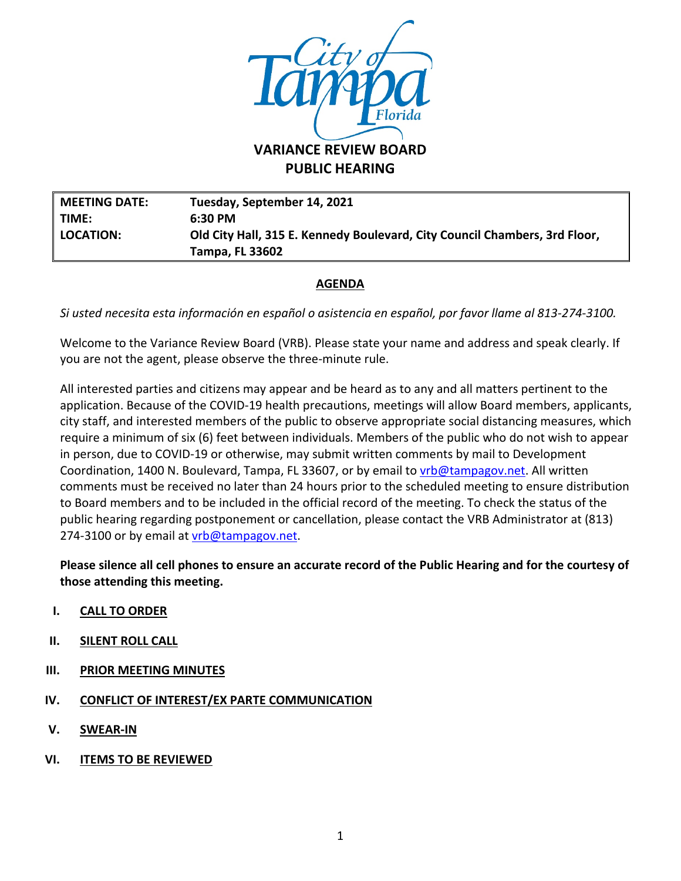

**PUBLIC HEARING**

**MEETING DATE: Tuesday, September 14, 2021 TIME: 6:30 PM LOCATION: Old City Hall, 315 E. Kennedy Boulevard, City Council Chambers, 3rd Floor, Tampa, FL 33602**

### **AGENDA**

*Si usted necesita esta información en español o asistencia en español, por favor llame al 813-274-3100.*

Welcome to the Variance Review Board (VRB). Please state your name and address and speak clearly. If you are not the agent, please observe the three-minute rule.

All interested parties and citizens may appear and be heard as to any and all matters pertinent to the application. Because of the COVID-19 health precautions, meetings will allow Board members, applicants, city staff, and interested members of the public to observe appropriate social distancing measures, which require a minimum of six (6) feet between individuals. Members of the public who do not wish to appear in person, due to COVID-19 or otherwise, may submit written comments by mail to Development Coordination, 1400 N. Boulevard, Tampa, FL 33607, or by email to *vrb@tampagov.net*. All written comments must be received no later than 24 hours prior to the scheduled meeting to ensure distribution to Board members and to be included in the official record of the meeting. To check the status of the public hearing regarding postponement or cancellation, please contact the VRB Administrator at (813) 274-3100 or by email at *vrb@tampagov.net.* 

**Please silence all cell phones to ensure an accurate record of the Public Hearing and for the courtesy of those attending this meeting.** 

- **I. CALL TO ORDER**
- **II. SILENT ROLL CALL**
- **III. PRIOR MEETING MINUTES**
- **IV. CONFLICT OF INTEREST/EX PARTE COMMUNICATION**
- **V. SWEAR-IN**
- **VI. ITEMS TO BE REVIEWED**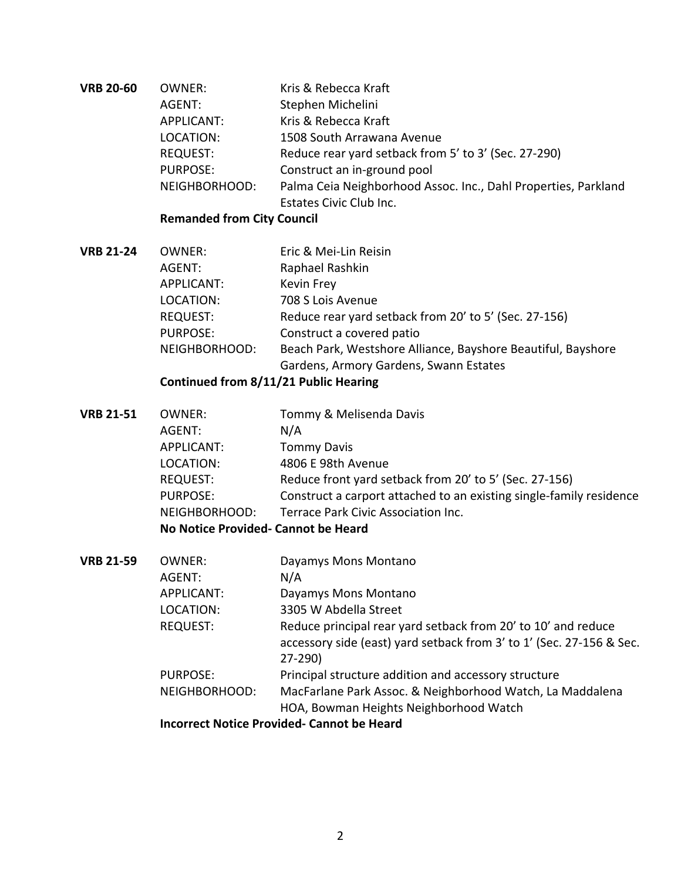| <b>VRB 20-60</b> | OWNER:          | Kris & Rebecca Kraft                                           |
|------------------|-----------------|----------------------------------------------------------------|
|                  | AGENT:          | Stephen Michelini                                              |
|                  | APPLICANT:      | Kris & Rebecca Kraft                                           |
|                  | LOCATION:       | 1508 South Arrawana Avenue                                     |
|                  | <b>REQUEST:</b> | Reduce rear yard setback from 5' to 3' (Sec. 27-290)           |
|                  | PURPOSE:        | Construct an in-ground pool                                    |
|                  | NEIGHBORHOOD:   | Palma Ceia Neighborhood Assoc. Inc., Dahl Properties, Parkland |
|                  |                 | Estates Civic Club Inc.                                        |

# **Remanded from City Council**

| <b>VRB 21-24</b> | OWNER:          | Eric & Mei-Lin Reisin                                        |
|------------------|-----------------|--------------------------------------------------------------|
|                  | AGENT:          | Raphael Rashkin                                              |
|                  | APPLICANT:      | Kevin Frey                                                   |
|                  | LOCATION:       | 708 S Lois Avenue                                            |
|                  | <b>REQUEST:</b> | Reduce rear yard setback from 20' to 5' (Sec. 27-156)        |
|                  | <b>PURPOSE:</b> | Construct a covered patio                                    |
|                  | NEIGHBORHOOD:   | Beach Park, Westshore Alliance, Bayshore Beautiful, Bayshore |
|                  |                 | Gardens, Armory Gardens, Swann Estates                       |

### **Continued from 8/11/21 Public Hearing**

| <b>VRB 21-51</b> | OWNER:                             | Tommy & Melisenda Davis                                             |
|------------------|------------------------------------|---------------------------------------------------------------------|
|                  | AGENT:                             | N/A                                                                 |
|                  | APPLICANT:                         | <b>Tommy Davis</b>                                                  |
|                  | LOCATION:                          | 4806 E 98th Avenue                                                  |
|                  | <b>REQUEST:</b>                    | Reduce front yard setback from 20' to 5' (Sec. 27-156)              |
|                  | <b>PURPOSE:</b>                    | Construct a carport attached to an existing single-family residence |
|                  | NEIGHBORHOOD:                      | Terrace Park Civic Association Inc.                                 |
|                  | No Notice Provided-Cannot be Heard |                                                                     |

| <b>VRB 21-59</b> | OWNER:          | Dayamys Mons Montano                                                                                                                              |
|------------------|-----------------|---------------------------------------------------------------------------------------------------------------------------------------------------|
|                  | AGENT:          | N/A                                                                                                                                               |
|                  | APPLICANT:      | Dayamys Mons Montano                                                                                                                              |
|                  | LOCATION:       | 3305 W Abdella Street                                                                                                                             |
|                  | <b>REQUEST:</b> | Reduce principal rear yard setback from 20' to 10' and reduce<br>accessory side (east) yard setback from 3' to 1' (Sec. 27-156 & Sec.<br>$27-290$ |
|                  | <b>PURPOSE:</b> | Principal structure addition and accessory structure                                                                                              |
|                  | NEIGHBORHOOD:   | MacFarlane Park Assoc. & Neighborhood Watch, La Maddalena                                                                                         |
|                  |                 | HOA, Bowman Heights Neighborhood Watch                                                                                                            |
|                  |                 | Incorrect Notice Drovided Cannot he Heard                                                                                                         |

**Incorrect Notice Provided- Cannot be Heard**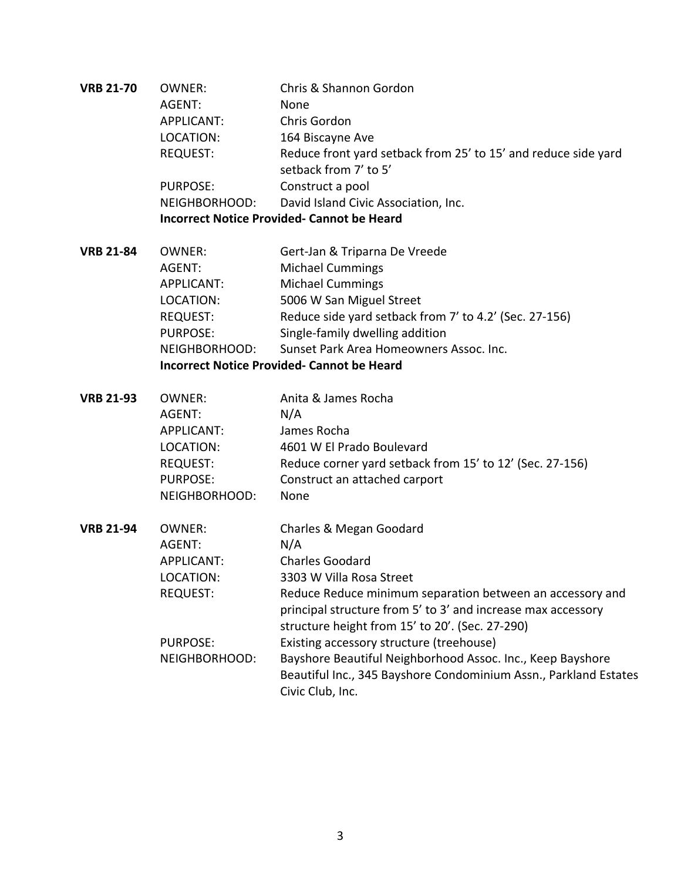| <b>VRB 21-70</b> | <b>OWNER:</b>                                     | Chris & Shannon Gordon                                           |  |
|------------------|---------------------------------------------------|------------------------------------------------------------------|--|
|                  | AGENT:                                            | None                                                             |  |
|                  | <b>APPLICANT:</b>                                 | Chris Gordon                                                     |  |
|                  | LOCATION:                                         | 164 Biscayne Ave                                                 |  |
|                  | <b>REQUEST:</b>                                   | Reduce front yard setback from 25' to 15' and reduce side yard   |  |
|                  |                                                   | setback from 7' to 5'                                            |  |
|                  | <b>PURPOSE:</b>                                   | Construct a pool                                                 |  |
|                  | NEIGHBORHOOD:                                     | David Island Civic Association, Inc.                             |  |
|                  | <b>Incorrect Notice Provided- Cannot be Heard</b> |                                                                  |  |
| <b>VRB 21-84</b> | <b>OWNER:</b>                                     | Gert-Jan & Triparna De Vreede                                    |  |
|                  | AGENT:                                            | <b>Michael Cummings</b>                                          |  |
|                  | <b>APPLICANT:</b>                                 | <b>Michael Cummings</b>                                          |  |
|                  | LOCATION:                                         | 5006 W San Miguel Street                                         |  |
|                  | REQUEST:                                          | Reduce side yard setback from 7' to 4.2' (Sec. 27-156)           |  |
|                  | PURPOSE:                                          | Single-family dwelling addition                                  |  |
|                  | NEIGHBORHOOD:                                     | Sunset Park Area Homeowners Assoc. Inc.                          |  |
|                  |                                                   | <b>Incorrect Notice Provided- Cannot be Heard</b>                |  |
| <b>VRB 21-93</b> | <b>OWNER:</b>                                     | Anita & James Rocha                                              |  |
|                  | AGENT:                                            | N/A                                                              |  |
|                  | <b>APPLICANT:</b>                                 | James Rocha                                                      |  |
|                  | LOCATION:                                         | 4601 W El Prado Boulevard                                        |  |
|                  | REQUEST:                                          | Reduce corner yard setback from 15' to 12' (Sec. 27-156)         |  |
|                  | <b>PURPOSE:</b>                                   | Construct an attached carport                                    |  |
|                  | NEIGHBORHOOD:                                     | None                                                             |  |
| <b>VRB 21-94</b> | OWNER:                                            | Charles & Megan Goodard                                          |  |
|                  | AGENT:                                            | N/A                                                              |  |
|                  | <b>APPLICANT:</b>                                 | <b>Charles Goodard</b>                                           |  |
|                  | LOCATION:                                         | 3303 W Villa Rosa Street                                         |  |
|                  | <b>REQUEST:</b>                                   | Reduce Reduce minimum separation between an accessory and        |  |
|                  |                                                   | principal structure from 5' to 3' and increase max accessory     |  |
|                  |                                                   | structure height from 15' to 20'. (Sec. 27-290)                  |  |
|                  | <b>PURPOSE:</b>                                   | Existing accessory structure (treehouse)                         |  |
|                  | NEIGHBORHOOD:                                     | Bayshore Beautiful Neighborhood Assoc. Inc., Keep Bayshore       |  |
|                  |                                                   | Beautiful Inc., 345 Bayshore Condominium Assn., Parkland Estates |  |
|                  |                                                   | Civic Club, Inc.                                                 |  |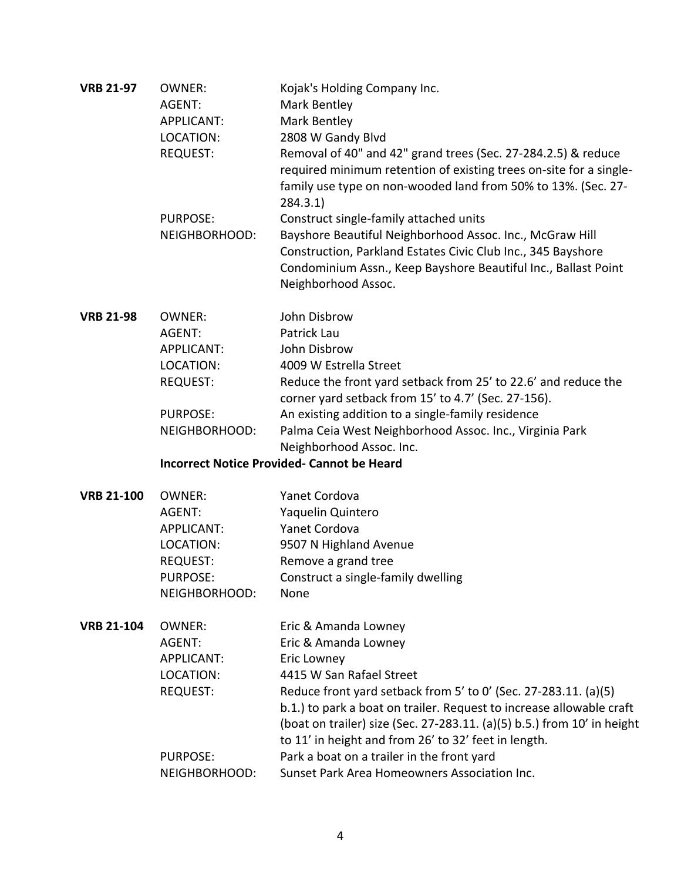| <b>VRB 21-97</b>  | <b>OWNER:</b><br>AGENT:<br><b>APPLICANT:</b><br>LOCATION:<br><b>REQUEST:</b>                                     | Kojak's Holding Company Inc.<br>Mark Bentley<br>Mark Bentley<br>2808 W Gandy Blvd<br>Removal of 40" and 42" grand trees (Sec. 27-284.2.5) & reduce<br>required minimum retention of existing trees on-site for a single-                                                                                                                                                                                                                                            |
|-------------------|------------------------------------------------------------------------------------------------------------------|---------------------------------------------------------------------------------------------------------------------------------------------------------------------------------------------------------------------------------------------------------------------------------------------------------------------------------------------------------------------------------------------------------------------------------------------------------------------|
|                   | <b>PURPOSE:</b><br>NEIGHBORHOOD:                                                                                 | family use type on non-wooded land from 50% to 13%. (Sec. 27-<br>284.3.1)<br>Construct single-family attached units<br>Bayshore Beautiful Neighborhood Assoc. Inc., McGraw Hill<br>Construction, Parkland Estates Civic Club Inc., 345 Bayshore<br>Condominium Assn., Keep Bayshore Beautiful Inc., Ballast Point<br>Neighborhood Assoc.                                                                                                                            |
| <b>VRB 21-98</b>  | <b>OWNER:</b><br>AGENT:<br><b>APPLICANT:</b><br>LOCATION:<br><b>REQUEST:</b><br><b>PURPOSE:</b><br>NEIGHBORHOOD: | John Disbrow<br>Patrick Lau<br>John Disbrow<br>4009 W Estrella Street<br>Reduce the front yard setback from 25' to 22.6' and reduce the<br>corner yard setback from 15' to 4.7' (Sec. 27-156).<br>An existing addition to a single-family residence<br>Palma Ceia West Neighborhood Assoc. Inc., Virginia Park<br>Neighborhood Assoc. Inc.<br><b>Incorrect Notice Provided- Cannot be Heard</b>                                                                     |
| <b>VRB 21-100</b> | <b>OWNER:</b><br>AGENT:<br><b>APPLICANT:</b><br>LOCATION:<br><b>REQUEST:</b><br>PURPOSE:<br>NEIGHBORHOOD:        | Yanet Cordova<br>Yaquelin Quintero<br>Yanet Cordova<br>9507 N Highland Avenue<br>Remove a grand tree<br>Construct a single-family dwelling<br>None                                                                                                                                                                                                                                                                                                                  |
| <b>VRB 21-104</b> | OWNER:<br>AGENT:<br><b>APPLICANT:</b><br>LOCATION:<br><b>REQUEST:</b><br>PURPOSE:<br>NEIGHBORHOOD:               | Eric & Amanda Lowney<br>Eric & Amanda Lowney<br>Eric Lowney<br>4415 W San Rafael Street<br>Reduce front yard setback from 5' to 0' (Sec. 27-283.11. (a)(5)<br>b.1.) to park a boat on trailer. Request to increase allowable craft<br>(boat on trailer) size (Sec. 27-283.11. (a)(5) b.5.) from 10' in height<br>to 11' in height and from 26' to 32' feet in length.<br>Park a boat on a trailer in the front yard<br>Sunset Park Area Homeowners Association Inc. |
|                   |                                                                                                                  |                                                                                                                                                                                                                                                                                                                                                                                                                                                                     |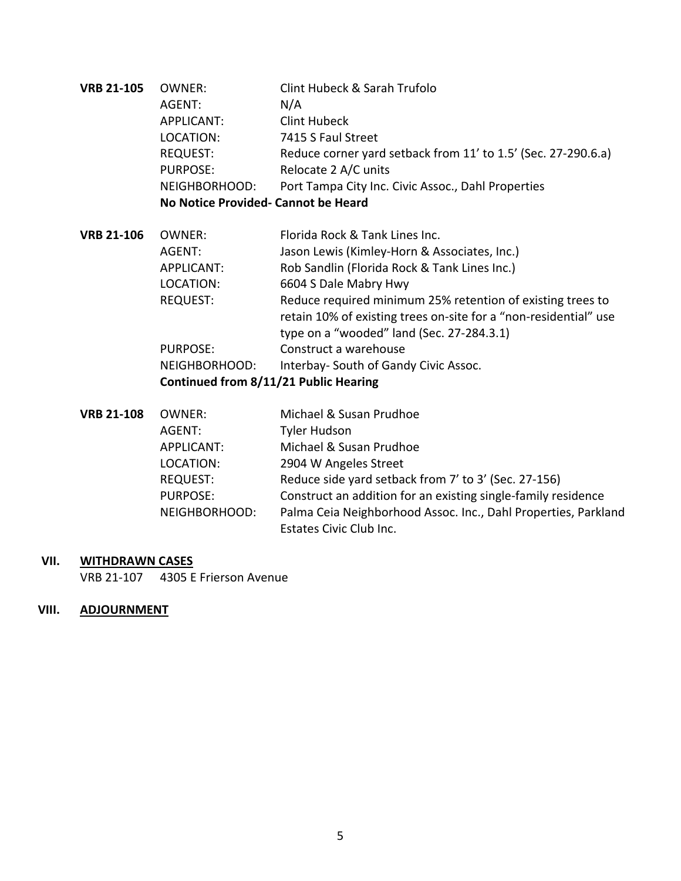| <b>VRB 21-105</b> | OWNER:                              | Clint Hubeck & Sarah Trufolo                                     |  |
|-------------------|-------------------------------------|------------------------------------------------------------------|--|
|                   | AGENT:                              | N/A                                                              |  |
|                   | <b>APPLICANT:</b>                   | Clint Hubeck                                                     |  |
|                   | LOCATION:                           | 7415 S Faul Street                                               |  |
|                   | <b>REQUEST:</b>                     | Reduce corner yard setback from 11' to 1.5' (Sec. 27-290.6.a)    |  |
|                   | <b>PURPOSE:</b>                     | Relocate 2 A/C units                                             |  |
|                   | NEIGHBORHOOD:                       | Port Tampa City Inc. Civic Assoc., Dahl Properties               |  |
|                   | No Notice Provided- Cannot be Heard |                                                                  |  |
| <b>VRB 21-106</b> | OWNER:                              | Florida Rock & Tank Lines Inc.                                   |  |
|                   | AGENT:                              | Jason Lewis (Kimley-Horn & Associates, Inc.)                     |  |
|                   | <b>APPLICANT:</b>                   | Rob Sandlin (Florida Rock & Tank Lines Inc.)                     |  |
|                   | LOCATION:                           | 6604 S Dale Mabry Hwy                                            |  |
|                   | <b>REQUEST:</b>                     | Reduce required minimum 25% retention of existing trees to       |  |
|                   |                                     | retain 10% of existing trees on-site for a "non-residential" use |  |
|                   |                                     | type on a "wooded" land (Sec. 27-284.3.1)                        |  |
|                   | <b>PURPOSE:</b>                     | Construct a warehouse                                            |  |
|                   | NEIGHBORHOOD:                       | Interbay- South of Gandy Civic Assoc.                            |  |

### **Continued from 8/11/21 Public Hearing**

| <b>VRB 21-108</b> | OWNER:          | Michael & Susan Prudhoe                                        |
|-------------------|-----------------|----------------------------------------------------------------|
|                   | AGENT:          | Tyler Hudson                                                   |
|                   | APPLICANT:      | Michael & Susan Prudhoe                                        |
|                   | LOCATION:       | 2904 W Angeles Street                                          |
|                   | <b>REQUEST:</b> | Reduce side yard setback from 7' to 3' (Sec. 27-156)           |
|                   | <b>PURPOSE:</b> | Construct an addition for an existing single-family residence  |
|                   | NEIGHBORHOOD:   | Palma Ceia Neighborhood Assoc. Inc., Dahl Properties, Parkland |
|                   |                 | Estates Civic Club Inc.                                        |

# **VII. WITHDRAWN CASES**

VRB 21-107 4305 E Frierson Avenue

## **VIII. ADJOURNMENT**